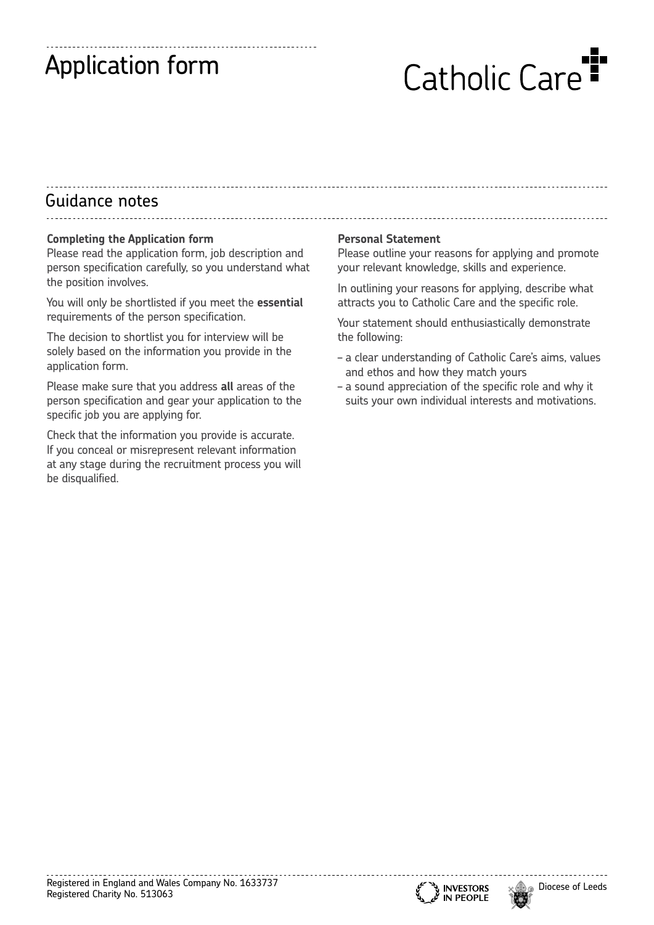# Application form

# Catholic Care<sup>1</sup>

## Guidance notes

#### **Completing the Application form**

Please read the application form, job description and person specification carefully, so you understand what the position involves.

You will only be shortlisted if you meet the **essential** requirements of the person specification.

The decision to shortlist you for interview will be solely based on the information you provide in the application form.

Please make sure that you address **all** areas of the person specification and gear your application to the specific job you are applying for.

Check that the information you provide is accurate. If you conceal or misrepresent relevant information at any stage during the recruitment process you will be disqualified.

#### **Personal Statement**

Please outline your reasons for applying and promote your relevant knowledge, skills and experience.

In outlining your reasons for applying, describe what attracts you to Catholic Care and the specific role.

Your statement should enthusiastically demonstrate the following:

- a clear understanding of Catholic Care's aims, values and ethos and how they match yours
- a sound appreciation of the specific role and why it suits your own individual interests and motivations.



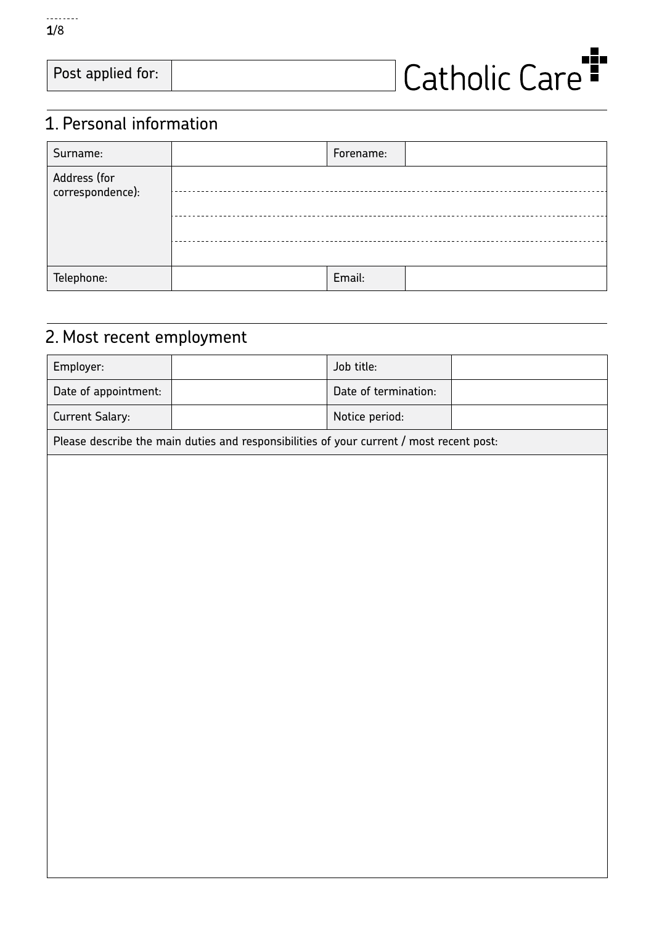

| Post applied for: | I Catholic Care <b>"</b> |  |
|-------------------|--------------------------|--|
|                   |                          |  |

## 1. Personal information

| Surname:                         | Forename: |  |
|----------------------------------|-----------|--|
| Address (for<br>correspondence): |           |  |
|                                  |           |  |
|                                  |           |  |
| Telephone:                       | Email:    |  |

## 2. Most recent employment

| Employer:              |                                                                                          | Job title:           |  |  |  |  |  |  |
|------------------------|------------------------------------------------------------------------------------------|----------------------|--|--|--|--|--|--|
| Date of appointment:   |                                                                                          | Date of termination: |  |  |  |  |  |  |
| <b>Current Salary:</b> |                                                                                          | Notice period:       |  |  |  |  |  |  |
|                        | Please describe the main duties and responsibilities of your current / most recent post: |                      |  |  |  |  |  |  |
|                        |                                                                                          |                      |  |  |  |  |  |  |
|                        |                                                                                          |                      |  |  |  |  |  |  |
|                        |                                                                                          |                      |  |  |  |  |  |  |
|                        |                                                                                          |                      |  |  |  |  |  |  |
|                        |                                                                                          |                      |  |  |  |  |  |  |
|                        |                                                                                          |                      |  |  |  |  |  |  |
|                        |                                                                                          |                      |  |  |  |  |  |  |
|                        |                                                                                          |                      |  |  |  |  |  |  |
|                        |                                                                                          |                      |  |  |  |  |  |  |
|                        |                                                                                          |                      |  |  |  |  |  |  |
|                        |                                                                                          |                      |  |  |  |  |  |  |
|                        |                                                                                          |                      |  |  |  |  |  |  |
|                        |                                                                                          |                      |  |  |  |  |  |  |
|                        |                                                                                          |                      |  |  |  |  |  |  |
|                        |                                                                                          |                      |  |  |  |  |  |  |
|                        |                                                                                          |                      |  |  |  |  |  |  |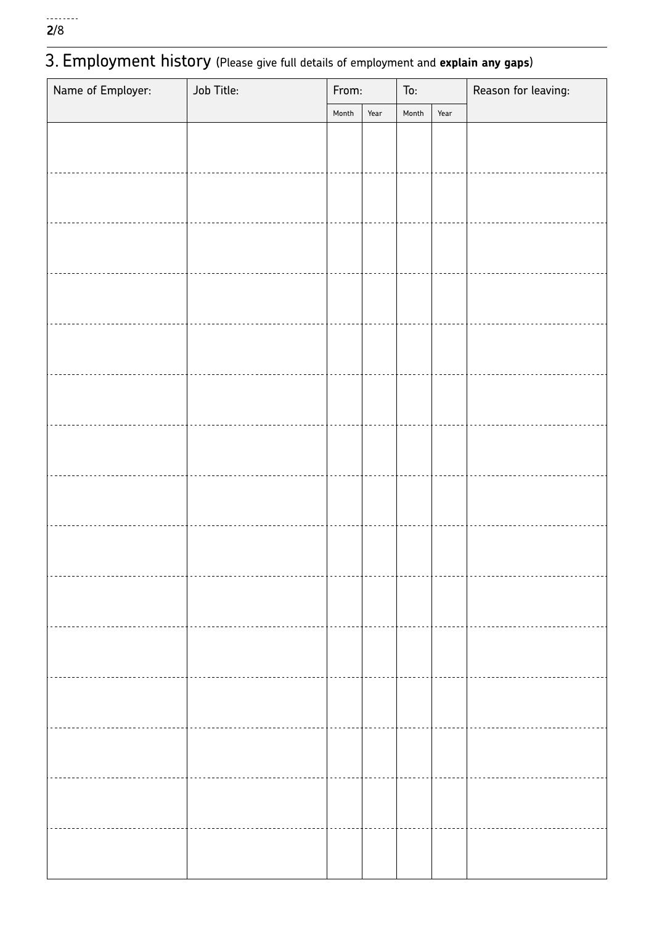## 3. Employment history (Please give full details of employment and **explain any gaps**)

| Name of Employer: | Job Title: | From: |      | To:   |      | Reason for leaving: |
|-------------------|------------|-------|------|-------|------|---------------------|
|                   |            | Month | Year | Month | Year |                     |
|                   |            |       |      |       |      |                     |
|                   |            |       |      |       |      |                     |
|                   |            |       |      |       |      |                     |
|                   |            |       |      |       |      |                     |
|                   |            |       |      |       |      |                     |
|                   |            |       |      |       |      |                     |
|                   |            |       |      |       |      |                     |
|                   |            |       |      |       |      |                     |
|                   |            |       |      |       |      |                     |
|                   |            |       |      |       |      |                     |
|                   |            |       |      |       |      |                     |
|                   |            |       |      |       |      |                     |
|                   |            |       |      |       |      |                     |
|                   |            |       |      |       |      |                     |
|                   |            |       |      |       |      |                     |
|                   |            |       |      |       |      |                     |
|                   |            |       |      |       |      |                     |
|                   |            |       |      |       |      |                     |
|                   |            |       |      |       |      |                     |
|                   |            |       |      |       |      |                     |
|                   |            |       |      |       |      |                     |
|                   |            |       |      |       |      |                     |
|                   |            |       |      |       |      |                     |
|                   |            |       |      |       |      |                     |
|                   |            |       |      |       |      |                     |
|                   |            |       |      |       |      |                     |
|                   |            |       |      |       |      |                     |
|                   |            |       |      |       |      |                     |
|                   |            |       |      |       |      |                     |
|                   |            |       |      |       |      |                     |
|                   |            |       |      |       |      |                     |
|                   |            |       |      |       |      |                     |
|                   |            |       |      |       |      |                     |
|                   |            |       |      |       |      |                     |
|                   |            |       |      |       |      |                     |
|                   |            |       |      |       |      |                     |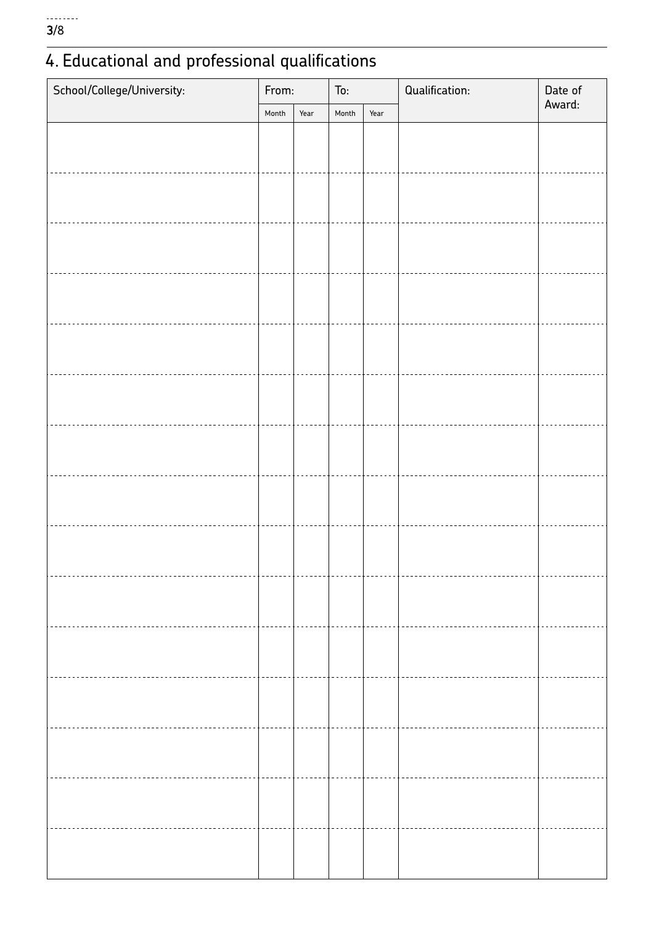# 4. Educational and professional qualifications

| School/College/University: |  | From: |       |      | Qualification: | Date of |
|----------------------------|--|-------|-------|------|----------------|---------|
|                            |  | Year  | Month | Year |                | Award:  |
|                            |  |       |       |      |                |         |
|                            |  |       |       |      |                |         |
|                            |  |       |       |      |                |         |
|                            |  |       |       |      |                |         |
|                            |  |       |       |      |                |         |
|                            |  |       |       |      |                |         |
|                            |  |       |       |      |                |         |
|                            |  |       |       |      |                |         |
|                            |  |       |       |      |                |         |
|                            |  |       |       |      |                |         |
|                            |  |       |       |      |                |         |
|                            |  |       |       |      |                |         |
|                            |  |       |       |      |                |         |
|                            |  |       |       |      |                |         |
|                            |  |       |       |      |                |         |
|                            |  |       |       |      |                |         |
|                            |  |       |       |      |                |         |
|                            |  |       |       |      |                |         |
|                            |  |       |       |      |                |         |
|                            |  |       |       |      |                |         |
|                            |  |       |       |      |                |         |
|                            |  |       |       |      |                |         |
|                            |  |       |       |      |                |         |
|                            |  |       |       |      |                |         |
|                            |  |       |       |      |                |         |
|                            |  |       |       |      |                |         |
|                            |  |       |       |      |                |         |
|                            |  |       |       |      |                |         |
|                            |  |       |       |      |                |         |
|                            |  |       |       |      |                |         |
|                            |  |       |       |      |                |         |
|                            |  |       |       |      |                |         |
|                            |  |       |       |      |                |         |
|                            |  |       |       |      |                |         |
|                            |  |       |       |      |                |         |
|                            |  |       |       |      |                |         |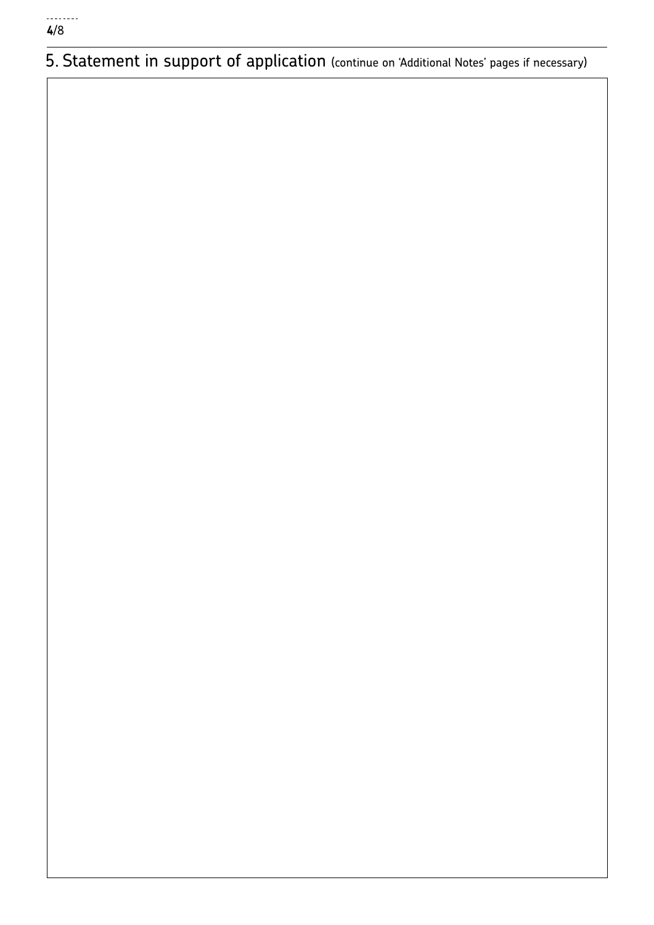5. Statement in support of application (continue on 'Additional Notes' pages if necessary)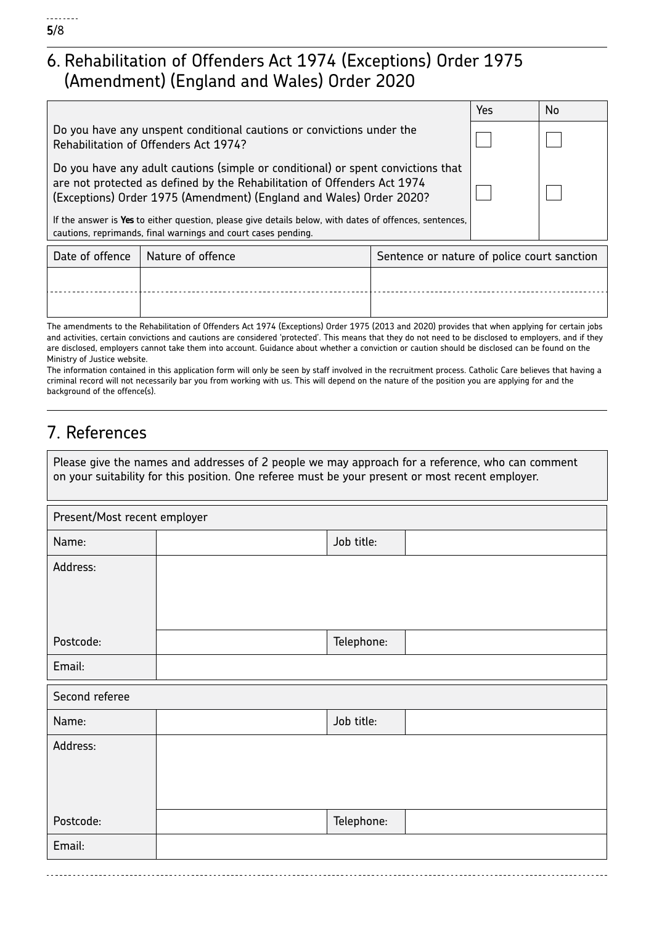## 6. Rehabilitation of Offenders Act 1974 (Exceptions) Order 1975 (Amendment) (England and Wales) Order 2020

|                                                                                                                                                                                                                                     | Yes | No |
|-------------------------------------------------------------------------------------------------------------------------------------------------------------------------------------------------------------------------------------|-----|----|
| Do you have any unspent conditional cautions or convictions under the<br>Rehabilitation of Offenders Act 1974?                                                                                                                      |     |    |
| Do you have any adult cautions (simple or conditional) or spent convictions that<br>are not protected as defined by the Rehabilitation of Offenders Act 1974<br>(Exceptions) Order 1975 (Amendment) (England and Wales) Order 2020? |     |    |
| If the answer is Yes to either question, please give details below, with dates of offences, sentences,<br>cautions, reprimands, final warnings and court cases pending.                                                             |     |    |

| Date of offence   Nature of offence | Sentence or nature of police court sanction |
|-------------------------------------|---------------------------------------------|
|                                     |                                             |
|                                     |                                             |

The amendments to the Rehabilitation of Offenders Act 1974 (Exceptions) Order 1975 (2013 and 2020) provides that when applying for certain jobs and activities, certain convictions and cautions are considered 'protected'. This means that they do not need to be disclosed to employers, and if they are disclosed, employers cannot take them into account. Guidance about whether a conviction or caution should be disclosed can be found on the Ministry of Justice website.

The information contained in this application form will only be seen by staff involved in the recruitment process. Catholic Care believes that having a criminal record will not necessarily bar you from working with us. This will depend on the nature of the position you are applying for and the background of the offence(s).

## 7. References

| Please give the names and addresses of 2 people we may approach for a reference, who can comment |
|--------------------------------------------------------------------------------------------------|
| on your suitability for this position. One referee must be your present or most recent employer. |

| Present/Most recent employer |            |  |  |  |  |
|------------------------------|------------|--|--|--|--|
| Name:                        | Job title: |  |  |  |  |
| Address:                     |            |  |  |  |  |
|                              |            |  |  |  |  |
|                              |            |  |  |  |  |
| Postcode:                    | Telephone: |  |  |  |  |
| Email:                       |            |  |  |  |  |
| Second referee               |            |  |  |  |  |
| Name:                        | Job title: |  |  |  |  |
| Address:                     |            |  |  |  |  |
|                              |            |  |  |  |  |
|                              |            |  |  |  |  |
| Postcode:                    | Telephone: |  |  |  |  |
| Email:                       |            |  |  |  |  |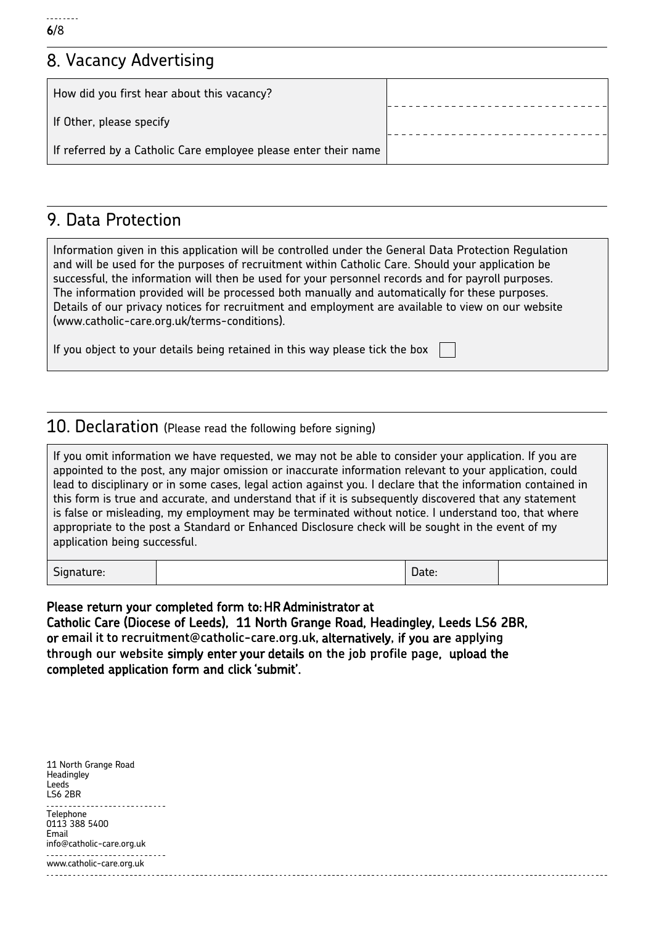## 8. Vacancy Advertising

| How did you first hear about this vacancy?                      |  |
|-----------------------------------------------------------------|--|
| If Other, please specify                                        |  |
| If referred by a Catholic Care employee please enter their name |  |

## 9. Data Protection

Information given in this application will be controlled under the General Data Protection Regulation and will be used for the purposes of recruitment within Catholic Care. Should your application be successful, the information will then be used for your personnel records and for payroll purposes. The information provided will be processed both manually and automatically for these purposes. Details of our privacy notices for recruitment and employment are available to view on our website (www.catholic-care.org.uk/terms-conditions).

If you object to your details being retained in this way please tick the box

#### 10. Declaration (Please read the following before signing)

If you omit information we have requested, we may not be able to consider your application. If you are appointed to the post, any major omission or inaccurate information relevant to your application, could lead to disciplinary or in some cases, legal action against you. I declare that the information contained in this form is true and accurate, and understand that if it is subsequently discovered that any statement is false or misleading, my employment may be terminated without notice. I understand too, that where appropriate to the post a Standard or Enhanced Disclosure check will be sought in the event of my application being successful.

Signature: and the contract of the contract of the contract of the contract of the Date:

Please return your completed form to: HR Administrator at

Catholic Care (Diocese of Leeds), 11 North Grange Road, Headingley, Leeds LS6 2BR, or **email it to recruitment@catholic-care.org.uk,** alternatively**,** if you are **applying through our website** simply enter your details **on the job profile page**, upload the completed application form and click 'submit'.

11 North Grange Road **Headingley** Leeds LS6 2BR **Telephone** 0113 388 5400 Email info@catholic-care.org.uk www.catholic-care.org.uk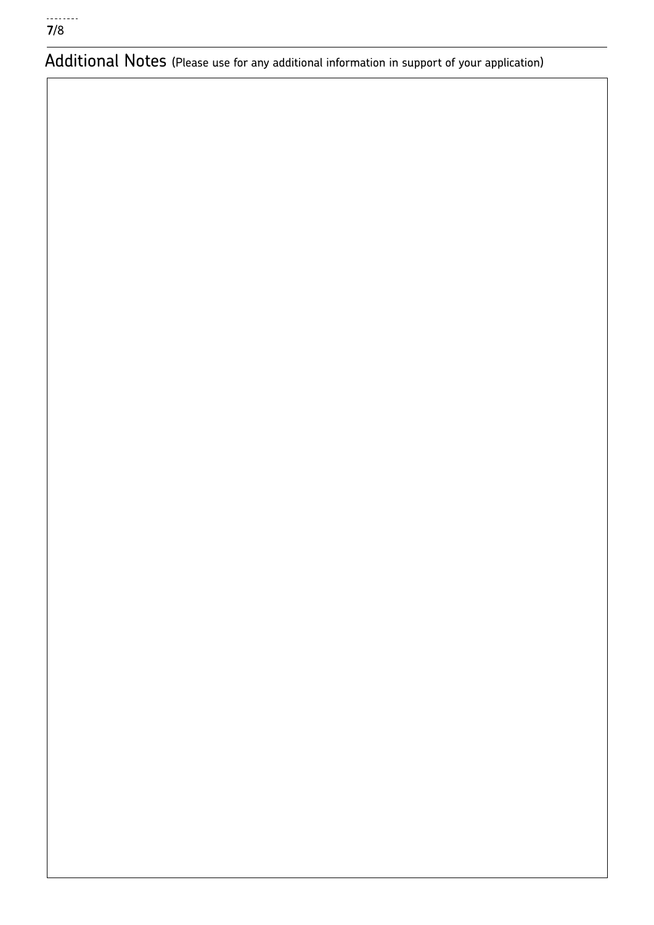Additional Notes (Please use for any additional information in support of your application)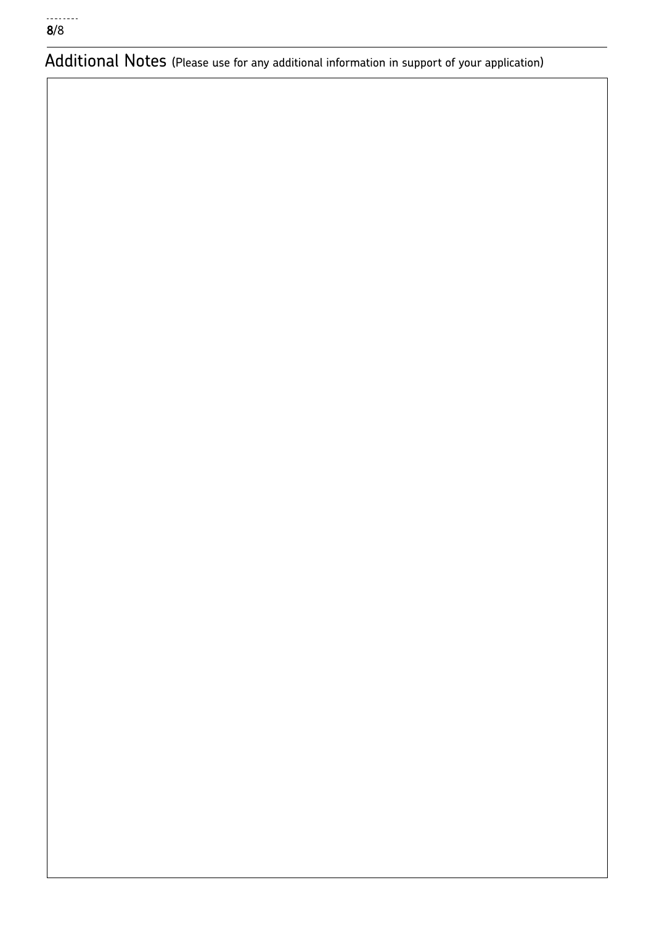Additional Notes (Please use for any additional information in support of your application)